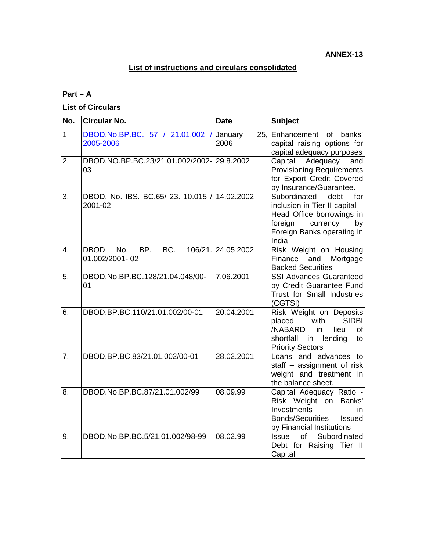# **List of instructions and circulars consolidated**

## **Part – A**

### **List of Circulars**

| No.            | <b>Circular No.</b>                                     | <b>Date</b>            | <b>Subject</b>                                                                                                                                                 |
|----------------|---------------------------------------------------------|------------------------|----------------------------------------------------------------------------------------------------------------------------------------------------------------|
| $\overline{1}$ | DBOD.No.BP.BC. 57 / 21.01.002 /<br>2005-2006            | January<br>25.<br>2006 | Enhancement<br>of<br>banks'<br>capital raising options for<br>capital adequacy purposes                                                                        |
| 2.             | DBOD.NO.BP.BC.23/21.01.002/2002-29.8.2002<br>03         |                        | Adequacy<br>Capital<br>and<br><b>Provisioning Requirements</b><br>for Export Credit Covered<br>by Insurance/Guarantee.                                         |
| 3.             | DBOD. No. IBS. BC.65/23. 10.015 / 14.02.2002<br>2001-02 |                        | Subordinated<br>debt<br>for<br>inclusion in Tier II capital -<br>Head Office borrowings in<br>foreign<br>currency<br>by<br>Foreign Banks operating in<br>India |
| 4.             | BC.<br><b>DBOD</b><br>BP.<br>No.<br>01.002/2001-02      | 106/21. 24.05 2002     | Risk Weight on Housing<br>and<br>Finance<br>Mortgage<br><b>Backed Securities</b>                                                                               |
| 5.             | DBOD.No.BP.BC.128/21.04.048/00-<br>01                   | 7.06.2001              | <b>SSI Advances Guaranteed</b><br>by Credit Guarantee Fund<br>Trust for Small Industries<br>(CGTSI)                                                            |
| 6.             | DBOD.BP.BC.110/21.01.002/00-01                          | 20.04.2001             | Risk Weight on Deposits<br><b>SIDBI</b><br>with<br>placed<br>/NABARD<br>lieu<br>in<br><b>of</b><br>shortfall<br>in<br>lending<br>to<br><b>Priority Sectors</b> |
| 7.             | DBOD.BP.BC.83/21.01.002/00-01                           | 28.02.2001             | Loans and advances to<br>staff $-$ assignment of risk<br>weight and treatment in<br>the balance sheet.                                                         |
| 8.             | DBOD.No.BP.BC.87/21.01.002/99                           | 08.09.99               | Capital Adequacy Ratio -<br>Risk Weight on Banks'<br>Investments<br>in<br><b>Bonds/Securities</b><br><b>Issued</b><br>by Financial Institutions                |
| 9.             | DBOD.No.BP.BC.5/21.01.002/98-99                         | 08.02.99               | of<br>Subordinated<br><b>Issue</b><br>Debt for Raising Tier II<br>Capital                                                                                      |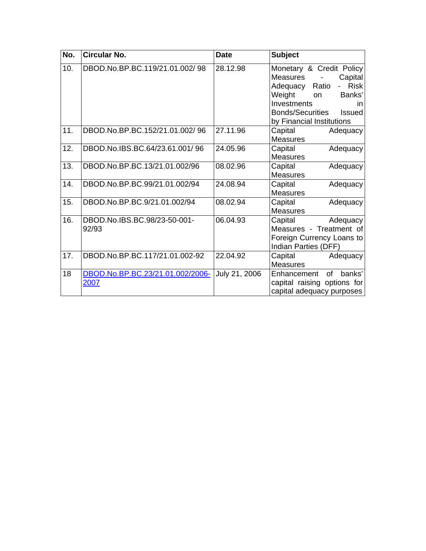| No. | <b>Circular No.</b>                      | <b>Date</b>   | <b>Subject</b>                                                                                                                                                                                                            |
|-----|------------------------------------------|---------------|---------------------------------------------------------------------------------------------------------------------------------------------------------------------------------------------------------------------------|
| 10. | DBOD.No.BP.BC.119/21.01.002/98           | 28.12.98      | Monetary & Credit Policy<br><b>Measures</b><br>Capital<br><b>Risk</b><br>Ratio<br>Adequacy<br>Weight<br>Banks'<br><b>on</b><br>Investments<br><i>in</i><br><b>Bonds/Securities</b><br>Issued<br>by Financial Institutions |
| 11. | DBOD.No.BP.BC.152/21.01.002/96           | 27.11.96      | Capital<br>Adequacy<br>Measures                                                                                                                                                                                           |
| 12. | DBOD.No.IBS.BC.64/23.61.001/96           | 24.05.96      | Capital<br>Adequacy<br><b>Measures</b>                                                                                                                                                                                    |
| 13. | DBOD.No.BP.BC.13/21.01.002/96            | 08.02.96      | Capital<br>Adequacy<br><b>Measures</b>                                                                                                                                                                                    |
| 14. | DBOD.No.BP.BC.99/21.01.002/94            | 24.08.94      | Capital<br>Adequacy<br>Measures                                                                                                                                                                                           |
| 15. | DBOD.No.BP.BC.9/21.01.002/94             | 08.02.94      | Capital<br>Adequacy<br><b>Measures</b>                                                                                                                                                                                    |
| 16. | DBOD.No.IBS.BC.98/23-50-001-<br>92/93    | 06.04.93      | Capital<br>Adequacy<br>Measures - Treatment of<br>Foreign Currency Loans to<br>Indian Parties (DFF)                                                                                                                       |
| 17. | DBOD.No.BP.BC.117/21.01.002-92           | 22.04.92      | Capital<br>Adequacy<br><b>Measures</b>                                                                                                                                                                                    |
| 18  | DBOD.No.BP.BC.23/21.01.002/2006-<br>2007 | July 21, 2006 | banks'<br>Enhancement<br>of<br>capital raising options for<br>capital adequacy purposes                                                                                                                                   |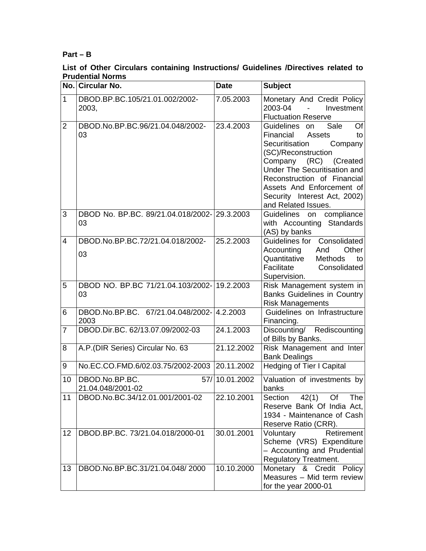### **Part – B**

#### **List of Other Circulars containing Instructions/ Guidelines /Directives related to Prudential Norms**

|                | No. Circular No.                                   | <b>Date</b>   | <b>Subject</b>                                                                                                                                                                                                                                                                           |
|----------------|----------------------------------------------------|---------------|------------------------------------------------------------------------------------------------------------------------------------------------------------------------------------------------------------------------------------------------------------------------------------------|
| $\mathbf{1}$   | DBOD.BP.BC.105/21.01.002/2002-<br>2003,            | 7.05.2003     | Monetary And Credit Policy<br>2003-04<br>Investment<br>$\sim$<br><b>Fluctuation Reserve</b>                                                                                                                                                                                              |
| $\overline{2}$ | DBOD.No.BP.BC.96/21.04.048/2002-<br>03             | 23.4.2003     | Of<br>Sale<br>Guidelines on<br>Financial<br>Assets<br>to<br>Securitisation<br>Company<br>(SC)/Reconstruction<br>Company (RC) (Created<br>Under The Securitisation and<br>Reconstruction of Financial<br>Assets And Enforcement of<br>Security Interest Act, 2002)<br>and Related Issues. |
| 3              | DBOD No. BP.BC. 89/21.04.018/2002-29.3.2003<br>03  |               | Guidelines on compliance<br>with Accounting Standards<br>(AS) by banks                                                                                                                                                                                                                   |
| $\overline{4}$ | DBOD.No.BP.BC.72/21.04.018/2002-<br>03             | 25.2.2003     | Guidelines for Consolidated<br>Accounting<br>Other<br>And<br>Quantitative<br><b>Methods</b><br>to<br>Facilitate<br>Consolidated<br>Supervision.                                                                                                                                          |
| 5              | DBOD NO. BP.BC 71/21.04.103/2002-19.2.2003<br>03   |               | Risk Management system in<br><b>Banks Guidelines in Country</b><br><b>Risk Managements</b>                                                                                                                                                                                               |
| 6              | DBOD.No.BP.BC. 67/21.04.048/2002-14.2.2003<br>2003 |               | Guidelines on Infrastructure<br>Financing.                                                                                                                                                                                                                                               |
| $\overline{7}$ | DBOD.Dir.BC. 62/13.07.09/2002-03                   | 24.1.2003     | Discounting/ Rediscounting<br>of Bills by Banks.                                                                                                                                                                                                                                         |
| 8              | A.P.(DIR Series) Circular No. 63                   | 21.12.2002    | Risk Management and Inter<br><b>Bank Dealings</b>                                                                                                                                                                                                                                        |
| 9              | No.EC.CO.FMD.6/02.03.75/2002-2003 20.11.2002       |               | Hedging of Tier I Capital                                                                                                                                                                                                                                                                |
| 10             | DBOD.No.BP.BC.<br>21.04.048/2001-02                | 57/10.01.2002 | Valuation of investments by<br>banks                                                                                                                                                                                                                                                     |
| 11             | DBOD.No.BC.34/12.01.001/2001-02                    | 22.10.2001    | Section<br>42(1) Of The<br>Reserve Bank Of India Act,<br>1934 - Maintenance of Cash<br>Reserve Ratio (CRR).                                                                                                                                                                              |
| 12             | DBOD.BP.BC. 73/21.04.018/2000-01                   | 30.01.2001    | Retirement<br>Voluntary<br>Scheme (VRS) Expenditure<br>- Accounting and Prudential<br><b>Regulatory Treatment.</b>                                                                                                                                                                       |
| 13             | DBOD.No.BP.BC.31/21.04.048/2000                    | 10.10.2000    | Monetary & Credit Policy<br>Measures - Mid term review<br>for the year 2000-01                                                                                                                                                                                                           |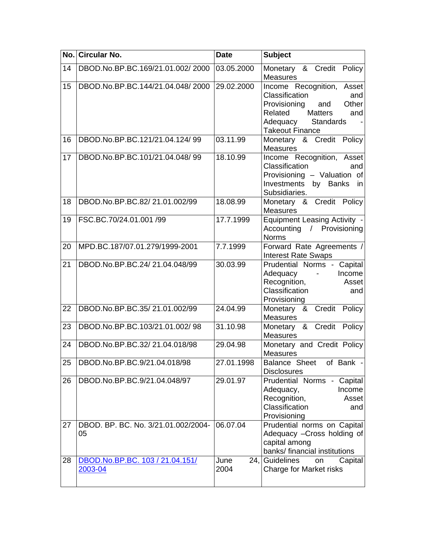|    | No. Circular No.                           | <b>Date</b>  | <b>Subject</b>                                                                                                                                                     |
|----|--------------------------------------------|--------------|--------------------------------------------------------------------------------------------------------------------------------------------------------------------|
| 14 | DBOD.No.BP.BC.169/21.01.002/2000           | 03.05.2000   | Monetary & Credit Policy<br><b>Measures</b>                                                                                                                        |
| 15 | DBOD.No.BP.BC.144/21.04.048/2000           | 29.02.2000   | Income Recognition, Asset<br>Classification<br>and<br>Other<br>Provisioning<br>and<br>Matters<br>Related<br>and<br>Standards<br>Adequacy<br><b>Takeout Finance</b> |
| 16 | DBOD.No.BP.BC.121/21.04.124/99             | 03.11.99     | Monetary & Credit Policy<br>Measures                                                                                                                               |
| 17 | DBOD.No.BP.BC.101/21.04.048/99             | 18.10.99     | Income Recognition, Asset<br>Classification<br>and<br>Provisioning - Valuation of<br>Investments<br>by Banks in<br>Subsidiaries.                                   |
| 18 | DBOD.No.BP.BC.82/21.01.002/99              | 18.08.99     | Monetary & Credit Policy<br><b>Measures</b>                                                                                                                        |
| 19 | FSC.BC.70/24.01.001 /99                    | 17.7.1999    | <b>Equipment Leasing Activity -</b><br>Accounting / Provisioning<br><b>Norms</b>                                                                                   |
| 20 | MPD.BC.187/07.01.279/1999-2001             | 7.7.1999     | Forward Rate Agreements /<br><b>Interest Rate Swaps</b>                                                                                                            |
| 21 | DBOD.No.BP.BC.24/21.04.048/99              | 30.03.99     | Prudential Norms - Capital<br>Adequacy -<br>Income<br>Recognition,<br>Asset<br>Classification<br>and<br>Provisioning                                               |
| 22 | DBOD.No.BP.BC.35/21.01.002/99              | 24.04.99     | Monetary & Credit Policy<br><b>Measures</b>                                                                                                                        |
| 23 | DBOD.No.BP.BC.103/21.01.002/98             | 31.10.98     | Monetary & Credit Policy<br>Measures                                                                                                                               |
| 24 | DBOD.No.BP.BC.32/21.04.018/98              | 29.04.98     | Monetary and Credit Policy<br><b>Measures</b>                                                                                                                      |
|    | 25 DBOD.No.BP.BC.9/21.04.018/98            | 27.01.1998   | Balance Sheet of Bank -<br><b>Disclosures</b>                                                                                                                      |
| 26 | DBOD.No.BP.BC.9/21.04.048/97               | 29.01.97     | Prudential Norms - Capital<br>Income<br>Adequacy,<br>Recognition,<br>Asset<br>Classification<br>and<br>Provisioning                                                |
| 27 | DBOD. BP. BC. No. 3/21.01.002/2004-<br>05  | 06.07.04     | Prudential norms on Capital<br>Adequacy - Cross holding of<br>capital among<br>banks/ financial institutions                                                       |
| 28 | DBOD.No.BP.BC. 103 / 21.04.151/<br>2003-04 | June<br>2004 | Capital<br>24, Guidelines<br>on<br>Charge for Market risks                                                                                                         |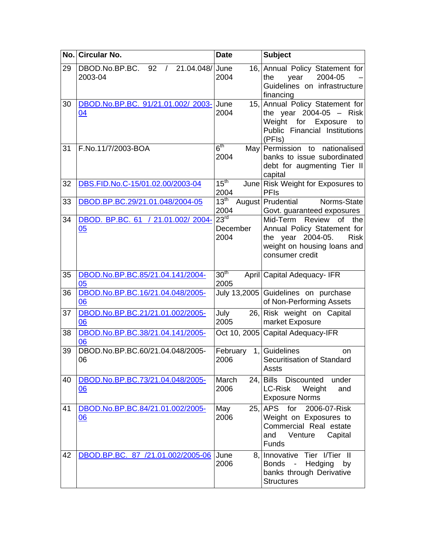|    | No. Circular No.                                                 | <b>Date</b>                          | <b>Subject</b>                                                                                                                                       |
|----|------------------------------------------------------------------|--------------------------------------|------------------------------------------------------------------------------------------------------------------------------------------------------|
| 29 | DBOD.No.BP.BC.<br>21.04.048/ June<br>92<br>$\sqrt{2}$<br>2003-04 | 2004                                 | 16, Annual Policy Statement for<br>2004-05<br>the<br>year<br>Guidelines on infrastructure<br>financing                                               |
| 30 | DBOD.No.BP.BC. 91/21.01.002/ 2003- June<br>04                    | 2004                                 | 15, Annual Policy Statement for<br>the year $2004-05$ - Risk<br>Weight for Exposure<br>to<br>Public Financial Institutions<br>(PFIs)                 |
| 31 | F.No.11/7/2003-BOA                                               | $6^{\sf th}$<br>2004                 | May Permission to nationalised<br>banks to issue subordinated<br>debt for augmenting Tier II<br>capital                                              |
| 32 | DBS.FID.No.C-15/01.02.00/2003-04                                 | 15 <sup>th</sup><br>2004             | June Risk Weight for Exposures to<br><b>PFIs</b>                                                                                                     |
| 33 | DBOD.BP.BC.29/21.01.048/2004-05                                  | 13 <sup>th</sup><br>2004             | August Prudential<br>Norms-State<br>Govt. guaranteed exposures                                                                                       |
| 34 | DBOD. BP.BC. 61 / 21.01.002/ 2004-<br>05                         | 23 <sup>rd</sup><br>December<br>2004 | Review<br>Mid-Term<br>of<br>the<br>Annual Policy Statement for<br>the year 2004-05.<br><b>Risk</b><br>weight on housing loans and<br>consumer credit |
| 35 | DBOD.No.BP.BC.85/21.04.141/2004-<br>05                           | 30 <sup>th</sup><br>2005             | April Capital Adequacy-IFR                                                                                                                           |
| 36 | DBOD.No.BP.BC.16/21.04.048/2005-<br>06                           |                                      | July 13,2005 Guidelines on purchase<br>of Non-Performing Assets                                                                                      |
| 37 | DBOD.No.BP.BC.21/21.01.002/2005-<br>06                           | July<br>2005                         | 26, Risk weight on Capital<br>market Exposure                                                                                                        |
| 38 | DBOD.No.BP.BC.38/21.04.141/2005-<br>06                           |                                      | Oct 10, 2005 Capital Adequacy-IFR                                                                                                                    |
| 39 | DBOD.No.BP.BC.60/21.04.048/2005-<br>06                           | February<br>1,<br>2006               | Guidelines<br>on<br>Securitisation of Standard<br>Assts                                                                                              |
| 40 | DBOD.No.BP.BC.73/21.04.048/2005-<br><u>06</u>                    | March<br>2006                        | 24. Bills Discounted under<br>LC-Risk<br>Weight<br>and<br><b>Exposure Norms</b>                                                                      |
| 41 | DBOD.No.BP.BC.84/21.01.002/2005-<br>06                           | May<br>2006                          | 25, APS for 2006-07-Risk<br>Weight on Exposures to<br>Commercial Real estate<br>and<br>Venture<br>Capital<br>Funds                                   |
| 42 | DBOD.BP.BC. 87 /21.01.002/2005-06                                | June<br>2006                         | 8. Innovative Tier I/Tier II<br><b>Bonds</b><br>Hedging<br>$\sim$ $-$<br>by<br>banks through Derivative<br><b>Structures</b>                         |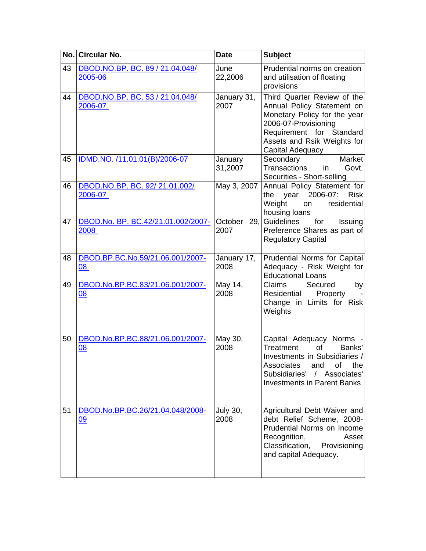|    | No. Circular No.                              | <b>Date</b>             | <b>Subject</b>                                                                                                                                                                                       |
|----|-----------------------------------------------|-------------------------|------------------------------------------------------------------------------------------------------------------------------------------------------------------------------------------------------|
| 43 | DBOD.NO.BP. BC. 89 / 21.04.048/<br>2005-06    | June<br>22,2006         | Prudential norms on creation<br>and utilisation of floating<br>provisions                                                                                                                            |
| 44 | DBOD.NO.BP. BC. 53 / 21.04.048/<br>2006-07    | January 31,<br>2007     | Third Quarter Review of the<br>Annual Policy Statement on<br>Monetary Policy for the year<br>2006-07-Provisioning<br>Requirement for Standard<br>Assets and Rsik Weights for<br>Capital Adequacy     |
| 45 | IDMD.NO. /11.01.01(B)/2006-07                 | January<br>31,2007      | Market<br>Secondary<br><b>Transactions</b><br>Govt.<br>in<br>Securities - Short-selling                                                                                                              |
| 46 | DBOD.NO.BP. BC. 92/21.01.002/<br>2006-07      | May 3, 2007             | Annual Policy Statement for<br>year 2006-07: Risk<br>the<br>Weight<br>residential<br>on<br>housing loans                                                                                             |
| 47 | DBOD.No. BP. BC.42/21.01.002/2007-<br>2008    | October<br>29,<br>2007  | Guidelines<br>for<br>Issuing<br>Preference Shares as part of<br><b>Regulatory Capital</b>                                                                                                            |
| 48 | DBOD.BP.BC.No.59/21.06.001/2007-<br>80        | January 17,<br>2008     | Prudential Norms for Capital<br>Adequacy - Risk Weight for<br><b>Educational Loans</b>                                                                                                               |
| 49 | DBOD.No.BP.BC.83/21.06.001/2007-<br>08        | May 14,<br>2008         | Claims<br>Secured<br>by<br>Property<br>Residential<br>Change in Limits for Risk<br>Weights                                                                                                           |
| 50 | DBOD.No.BP.BC.88/21.06.001/2007-<br><u>08</u> | May 30,<br>2008         | Capital Adequacy Norms -<br>Treatment<br><b>of</b><br>Banks'<br>Investments in Subsidiaries /<br>Associates<br>the<br>and<br>οf<br>Subsidiaries' / Associates'<br><b>Investments in Parent Banks</b> |
| 51 | DBOD.No.BP.BC.26/21.04.048/2008-<br>09        | <b>July 30,</b><br>2008 | Agricultural Debt Waiver and<br>debt Relief Scheme, 2008-<br>Prudential Norms on Income<br>Recognition,<br>Asset<br>Classification, Provisioning<br>and capital Adequacy.                            |